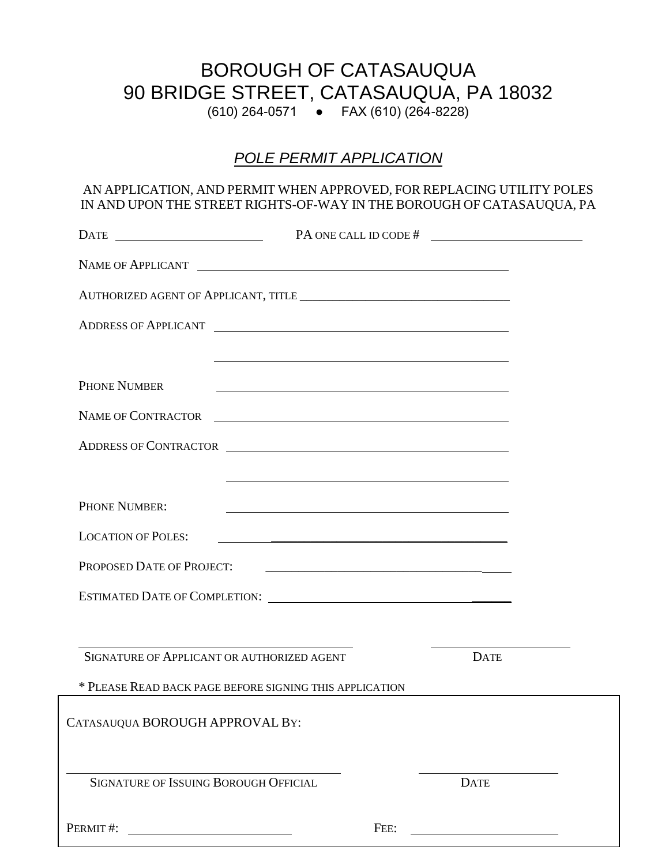## BOROUGH OF CATASAUQUA 90 BRIDGE STREET, CATASAUQUA, PA 18032

(610) 264-0571 ● FAX (610) (264-8228)

## *POLE PERMIT APPLICATION*

## AN APPLICATION, AND PERMIT WHEN APPROVED, FOR REPLACING UTILITY POLES IN AND UPON THE STREET RIGHTS-OF-WAY IN THE BOROUGH OF CATASAUQUA, PA

| $\text{DATE}$                                                                                                                                                                                                                 | PA ONE CALL ID CODE #                                                                                                                                                                                                                |             |  |
|-------------------------------------------------------------------------------------------------------------------------------------------------------------------------------------------------------------------------------|--------------------------------------------------------------------------------------------------------------------------------------------------------------------------------------------------------------------------------------|-------------|--|
| NAME OF APPLICANT                                                                                                                                                                                                             |                                                                                                                                                                                                                                      |             |  |
|                                                                                                                                                                                                                               |                                                                                                                                                                                                                                      |             |  |
| ADDRESS OF APPLICANT                                                                                                                                                                                                          |                                                                                                                                                                                                                                      |             |  |
|                                                                                                                                                                                                                               | <u> 1989 - Johann Stoff, amerikansk politiker (* 1908)</u>                                                                                                                                                                           |             |  |
| <b>PHONE NUMBER</b>                                                                                                                                                                                                           |                                                                                                                                                                                                                                      |             |  |
| <b>NAME OF CONTRACTOR</b>                                                                                                                                                                                                     | <u> Andreas Andreas Andreas Andreas Andreas Andreas Andreas Andreas Andreas Andreas Andreas Andreas Andreas Andreas Andreas Andreas Andreas Andreas Andreas Andreas Andreas Andreas Andreas Andreas Andreas Andreas Andreas Andr</u> |             |  |
| ADDRESS OF CONTRACTOR                                                                                                                                                                                                         |                                                                                                                                                                                                                                      |             |  |
|                                                                                                                                                                                                                               | and the control of the control of the control of the control of the control of the control of the control of the                                                                                                                     |             |  |
| PHONE NUMBER:                                                                                                                                                                                                                 |                                                                                                                                                                                                                                      |             |  |
| <b>LOCATION OF POLES:</b>                                                                                                                                                                                                     |                                                                                                                                                                                                                                      |             |  |
| PROPOSED DATE OF PROJECT:                                                                                                                                                                                                     |                                                                                                                                                                                                                                      |             |  |
| ESTIMATED DATE OF COMPLETION: \\cdf \\cdf \\cdf \\cdf \\cdf \\cdf \\cdf \\cdf \\cdf \\cdf \\cdf \\cdf \\cdf \\cdf \\cdf \\cdf \\cdf \\cdf \\cdf \\cdf \\cdf \\cdf \\cdf \\cdf \\cdf \\cdf \\cdf \\cdf \\cdf \\cdf \\cdf \\cdf |                                                                                                                                                                                                                                      |             |  |
|                                                                                                                                                                                                                               |                                                                                                                                                                                                                                      |             |  |
| SIGNATURE OF APPLICANT OR AUTHORIZED AGENT                                                                                                                                                                                    |                                                                                                                                                                                                                                      | <b>DATE</b> |  |
| * PLEASE READ BACK PAGE BEFORE SIGNING THIS APPLICATION                                                                                                                                                                       |                                                                                                                                                                                                                                      |             |  |
| CATASAUQUA BOROUGH APPROVAL BY:                                                                                                                                                                                               |                                                                                                                                                                                                                                      |             |  |
|                                                                                                                                                                                                                               |                                                                                                                                                                                                                                      |             |  |
| <b>SIGNATURE OF ISSUING BOROUGH OFFICIAL</b>                                                                                                                                                                                  |                                                                                                                                                                                                                                      | <b>DATE</b> |  |
| PERMIT#:                                                                                                                                                                                                                      | FEE:                                                                                                                                                                                                                                 |             |  |
|                                                                                                                                                                                                                               |                                                                                                                                                                                                                                      |             |  |